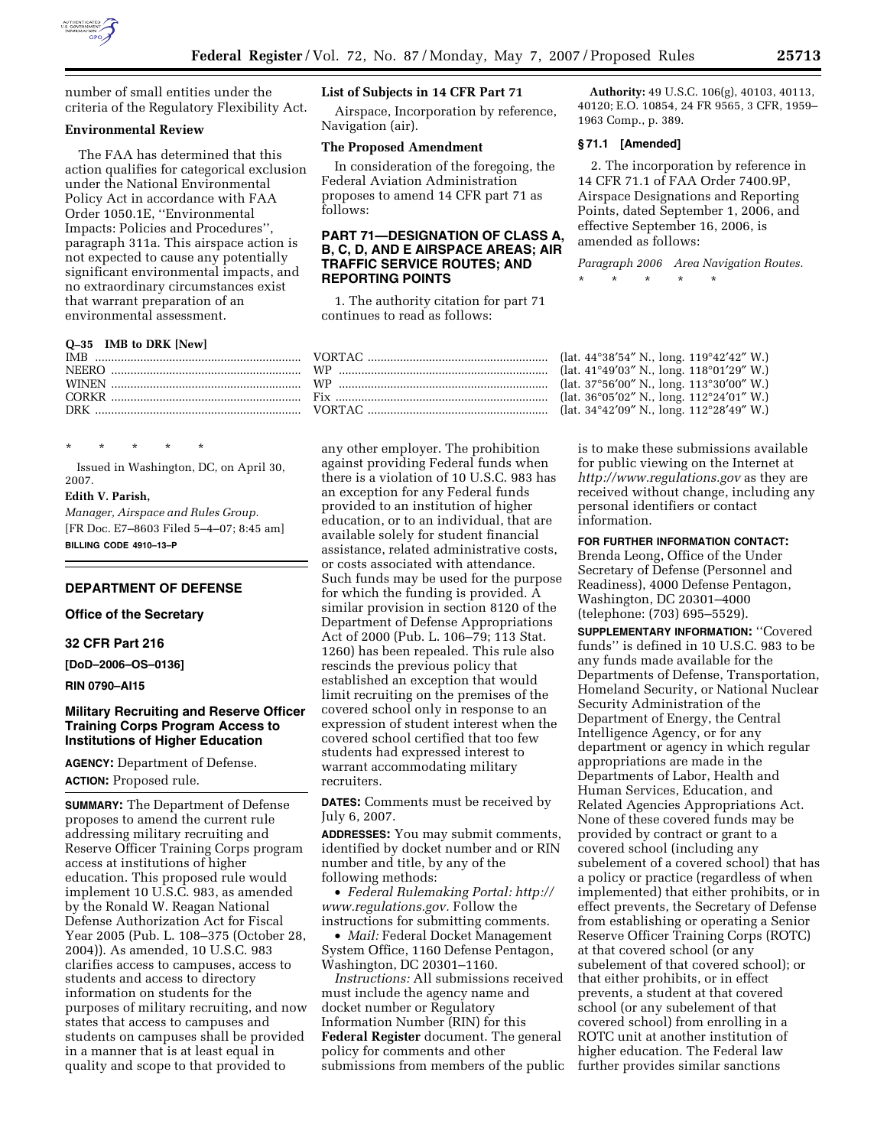

number of small entities under the criteria of the Regulatory Flexibility Act.

### **Environmental Review**

The FAA has determined that this action qualifies for categorical exclusion under the National Environmental Policy Act in accordance with FAA Order 1050.1E, ''Environmental Impacts: Policies and Procedures'', paragraph 311a. This airspace action is not expected to cause any potentially significant environmental impacts, and no extraordinary circumstances exist that warrant preparation of an environmental assessment.

### **Q–35 IMB to DRK [New]**

\* \* \* \* \*

Issued in Washington, DC, on April 30, 2007.

# **Edith V. Parish,**

*Manager, Airspace and Rules Group.*  [FR Doc. E7–8603 Filed 5–4–07; 8:45 am] **BILLING CODE 4910–13–P** 

## **DEPARTMENT OF DEFENSE**

## **Office of the Secretary**

**32 CFR Part 216** 

**[DoD–2006–OS–0136]** 

**RIN 0790–AI15** 

## **Military Recruiting and Reserve Officer Training Corps Program Access to Institutions of Higher Education**

**AGENCY:** Department of Defense. **ACTION:** Proposed rule.

**SUMMARY:** The Department of Defense proposes to amend the current rule addressing military recruiting and Reserve Officer Training Corps program access at institutions of higher education. This proposed rule would implement 10 U.S.C. 983, as amended by the Ronald W. Reagan National Defense Authorization Act for Fiscal Year 2005 (Pub. L. 108–375 (October 28, 2004)). As amended, 10 U.S.C. 983 clarifies access to campuses, access to students and access to directory information on students for the purposes of military recruiting, and now states that access to campuses and students on campuses shall be provided in a manner that is at least equal in quality and scope to that provided to

## **List of Subjects in 14 CFR Part 71**

Airspace, Incorporation by reference, Navigation (air).

#### **The Proposed Amendment**

In consideration of the foregoing, the Federal Aviation Administration proposes to amend 14 CFR part 71 as follows:

## **PART 71—DESIGNATION OF CLASS A, B, C, D, AND E AIRSPACE AREAS; AIR TRAFFIC SERVICE ROUTES; AND REPORTING POINTS**

1. The authority citation for part 71 continues to read as follows:

any other employer. The prohibition against providing Federal funds when there is a violation of 10 U.S.C. 983 has an exception for any Federal funds provided to an institution of higher education, or to an individual, that are available solely for student financial assistance, related administrative costs, or costs associated with attendance. Such funds may be used for the purpose for which the funding is provided. A similar provision in section 8120 of the Department of Defense Appropriations Act of 2000 (Pub. L. 106–79; 113 Stat. 1260) has been repealed. This rule also rescinds the previous policy that established an exception that would limit recruiting on the premises of the covered school only in response to an expression of student interest when the covered school certified that too few students had expressed interest to warrant accommodating military recruiters.

**DATES:** Comments must be received by July 6, 2007.

**ADDRESSES:** You may submit comments, identified by docket number and or RIN number and title, by any of the following methods:

• *Federal Rulemaking Portal: http:// www.regulations.gov.* Follow the instructions for submitting comments.

• *Mail:* Federal Docket Management System Office, 1160 Defense Pentagon, Washington, DC 20301–1160.

*Instructions:* All submissions received must include the agency name and docket number or Regulatory Information Number (RIN) for this **Federal Register** document. The general policy for comments and other submissions from members of the public

**Authority:** 49 U.S.C. 106(g), 40103, 40113, 40120; E.O. 10854, 24 FR 9565, 3 CFR, 1959– 1963 Comp., p. 389.

## **§ 71.1 [Amended]**

2. The incorporation by reference in 14 CFR 71.1 of FAA Order 7400.9P, Airspace Designations and Reporting Points, dated September 1, 2006, and effective September 16, 2006, is amended as follows:

*Paragraph 2006 Area Navigation Routes.* 

(lat. 44°38'54" N., long. 119°42'42" W.) (lat. 41°49'03" N., long. 118°01'29" W.) (lat. 37°56'00" N., long. 113°30'00" W.) (lat. 36°05'02" N., long. 112°24'01" W.) (lat. 34°42'09" N., long. 112°28'49" W.)

\* \* \* \* \*

is to make these submissions available for public viewing on the Internet at *http://www.regulations.gov* as they are received without change, including any personal identifiers or contact information.

### **FOR FURTHER INFORMATION CONTACT:**

Brenda Leong, Office of the Under Secretary of Defense (Personnel and Readiness), 4000 Defense Pentagon, Washington, DC 20301–4000 (telephone: (703) 695–5529).

**SUPPLEMENTARY INFORMATION:** ''Covered funds'' is defined in 10 U.S.C. 983 to be any funds made available for the Departments of Defense, Transportation, Homeland Security, or National Nuclear Security Administration of the Department of Energy, the Central Intelligence Agency, or for any department or agency in which regular appropriations are made in the Departments of Labor, Health and Human Services, Education, and Related Agencies Appropriations Act. None of these covered funds may be provided by contract or grant to a covered school (including any subelement of a covered school) that has a policy or practice (regardless of when implemented) that either prohibits, or in effect prevents, the Secretary of Defense from establishing or operating a Senior Reserve Officer Training Corps (ROTC) at that covered school (or any subelement of that covered school); or that either prohibits, or in effect prevents, a student at that covered school (or any subelement of that covered school) from enrolling in a ROTC unit at another institution of higher education. The Federal law further provides similar sanctions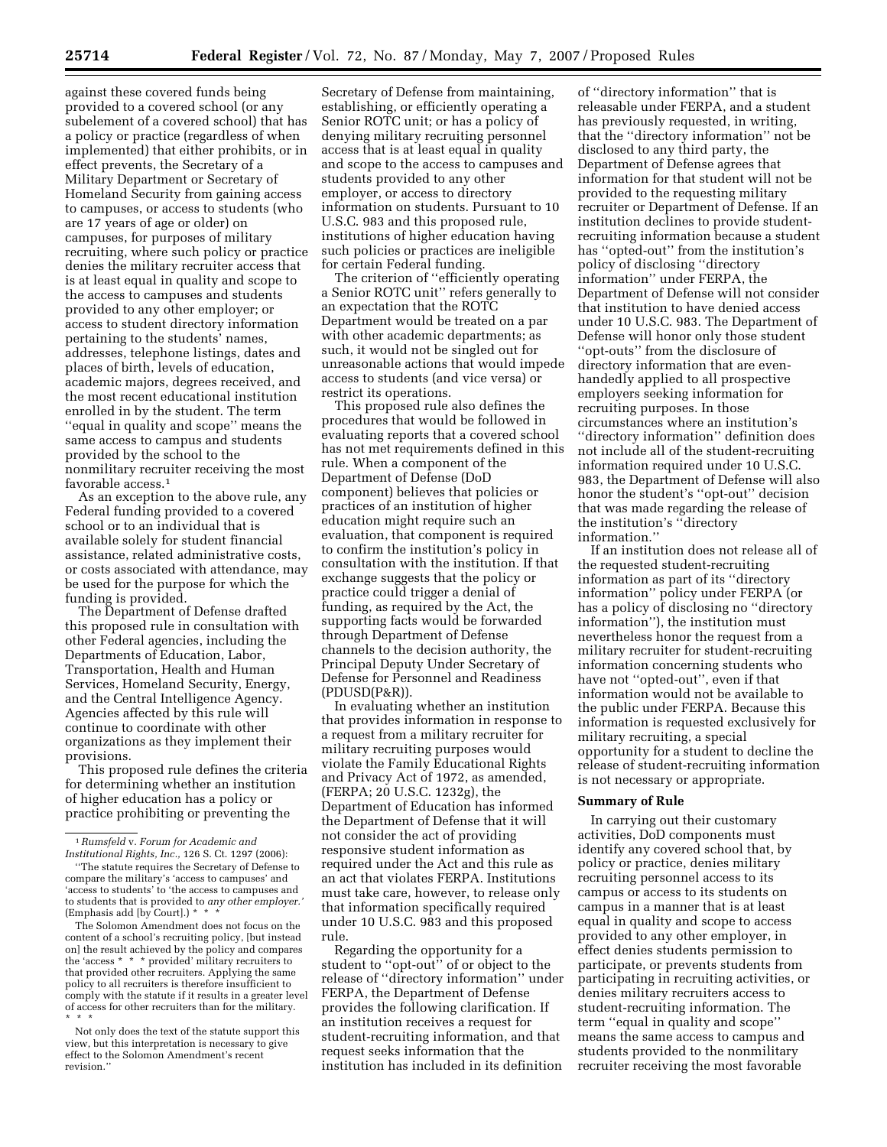against these covered funds being provided to a covered school (or any subelement of a covered school) that has a policy or practice (regardless of when implemented) that either prohibits, or in effect prevents, the Secretary of a Military Department or Secretary of Homeland Security from gaining access to campuses, or access to students (who are 17 years of age or older) on campuses, for purposes of military recruiting, where such policy or practice denies the military recruiter access that is at least equal in quality and scope to the access to campuses and students provided to any other employer; or access to student directory information pertaining to the students' names, addresses, telephone listings, dates and places of birth, levels of education, academic majors, degrees received, and the most recent educational institution enrolled in by the student. The term ''equal in quality and scope'' means the same access to campus and students provided by the school to the nonmilitary recruiter receiving the most favorable access.<sup>1</sup>

As an exception to the above rule, any Federal funding provided to a covered school or to an individual that is available solely for student financial assistance, related administrative costs, or costs associated with attendance, may be used for the purpose for which the funding is provided.

The Department of Defense drafted this proposed rule in consultation with other Federal agencies, including the Departments of Education, Labor, Transportation, Health and Human Services, Homeland Security, Energy, and the Central Intelligence Agency. Agencies affected by this rule will continue to coordinate with other organizations as they implement their provisions.

This proposed rule defines the criteria for determining whether an institution of higher education has a policy or practice prohibiting or preventing the

The Solomon Amendment does not focus on the content of a school's recruiting policy, [but instead on] the result achieved by the policy and compares the 'access \* \* \* provided' military recruiters to that provided other recruiters. Applying the same policy to all recruiters is therefore insufficient to comply with the statute if it results in a greater level of access for other recruiters than for the military. \* \* \*

Not only does the text of the statute support this view, but this interpretation is necessary to give effect to the Solomon Amendment's recent revision.''

Secretary of Defense from maintaining, establishing, or efficiently operating a Senior ROTC unit; or has a policy of denying military recruiting personnel access that is at least equal in quality and scope to the access to campuses and students provided to any other employer, or access to directory information on students. Pursuant to 10 U.S.C. 983 and this proposed rule, institutions of higher education having such policies or practices are ineligible for certain Federal funding.

The criterion of ''efficiently operating a Senior ROTC unit'' refers generally to an expectation that the ROTC Department would be treated on a par with other academic departments; as such, it would not be singled out for unreasonable actions that would impede access to students (and vice versa) or restrict its operations.

This proposed rule also defines the procedures that would be followed in evaluating reports that a covered school has not met requirements defined in this rule. When a component of the Department of Defense (DoD component) believes that policies or practices of an institution of higher education might require such an evaluation, that component is required to confirm the institution's policy in consultation with the institution. If that exchange suggests that the policy or practice could trigger a denial of funding, as required by the Act, the supporting facts would be forwarded through Department of Defense channels to the decision authority, the Principal Deputy Under Secretary of Defense for Personnel and Readiness (PDUSD(P&R)).

In evaluating whether an institution that provides information in response to a request from a military recruiter for military recruiting purposes would violate the Family Educational Rights and Privacy Act of 1972, as amended, (FERPA; 20 U.S.C. 1232g), the Department of Education has informed the Department of Defense that it will not consider the act of providing responsive student information as required under the Act and this rule as an act that violates FERPA. Institutions must take care, however, to release only that information specifically required under 10 U.S.C. 983 and this proposed rule.

Regarding the opportunity for a student to ''opt-out'' of or object to the release of ''directory information'' under FERPA, the Department of Defense provides the following clarification. If an institution receives a request for student-recruiting information, and that request seeks information that the institution has included in its definition

of ''directory information'' that is releasable under FERPA, and a student has previously requested, in writing, that the ''directory information'' not be disclosed to any third party, the Department of Defense agrees that information for that student will not be provided to the requesting military recruiter or Department of Defense. If an institution declines to provide studentrecruiting information because a student has ''opted-out'' from the institution's policy of disclosing ''directory information'' under FERPA, the Department of Defense will not consider that institution to have denied access under 10 U.S.C. 983. The Department of Defense will honor only those student ''opt-outs'' from the disclosure of directory information that are evenhandedly applied to all prospective employers seeking information for recruiting purposes. In those circumstances where an institution's ''directory information'' definition does not include all of the student-recruiting information required under 10 U.S.C. 983, the Department of Defense will also honor the student's ''opt-out'' decision that was made regarding the release of the institution's ''directory information.''

If an institution does not release all of the requested student-recruiting information as part of its ''directory information'' policy under FERPA (or has a policy of disclosing no ''directory information''), the institution must nevertheless honor the request from a military recruiter for student-recruiting information concerning students who have not ''opted-out'', even if that information would not be available to the public under FERPA. Because this information is requested exclusively for military recruiting, a special opportunity for a student to decline the release of student-recruiting information is not necessary or appropriate.

### **Summary of Rule**

In carrying out their customary activities, DoD components must identify any covered school that, by policy or practice, denies military recruiting personnel access to its campus or access to its students on campus in a manner that is at least equal in quality and scope to access provided to any other employer, in effect denies students permission to participate, or prevents students from participating in recruiting activities, or denies military recruiters access to student-recruiting information. The term ''equal in quality and scope'' means the same access to campus and students provided to the nonmilitary recruiter receiving the most favorable

<sup>1</sup>*Rumsfeld* v. *Forum for Academic and Institutional Rights, Inc.,* 126 S. Ct. 1297 (2006):

<sup>&#</sup>x27;'The statute requires the Secretary of Defense to compare the military's 'access to campuses' and 'access to students' to 'the access to campuses and to students that is provided to *any other employer.'*  (Emphasis add [by Court].) \* \* \*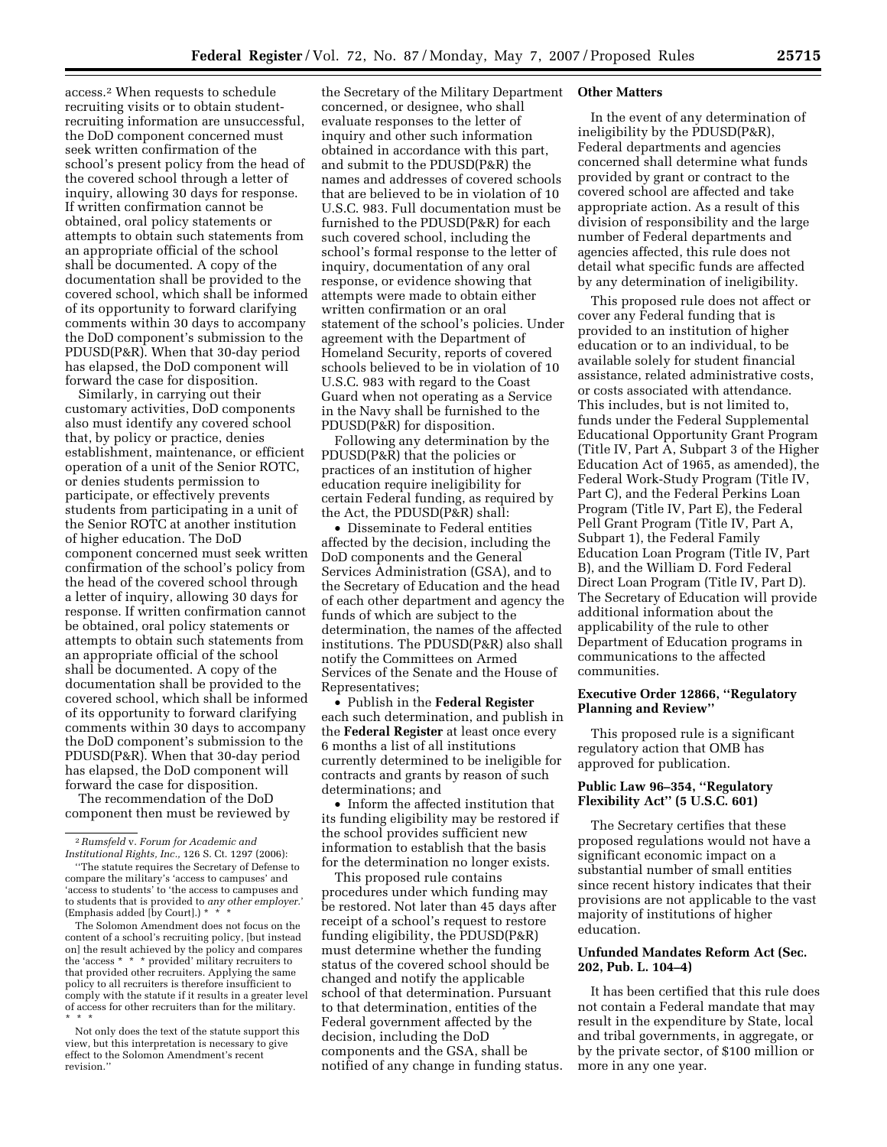access.2 When requests to schedule recruiting visits or to obtain studentrecruiting information are unsuccessful, the DoD component concerned must seek written confirmation of the school's present policy from the head of the covered school through a letter of inquiry, allowing 30 days for response. If written confirmation cannot be obtained, oral policy statements or attempts to obtain such statements from an appropriate official of the school shall be documented. A copy of the documentation shall be provided to the covered school, which shall be informed of its opportunity to forward clarifying comments within 30 days to accompany the DoD component's submission to the PDUSD(P&R). When that 30-day period has elapsed, the DoD component will forward the case for disposition.

Similarly, in carrying out their customary activities, DoD components also must identify any covered school that, by policy or practice, denies establishment, maintenance, or efficient operation of a unit of the Senior ROTC, or denies students permission to participate, or effectively prevents students from participating in a unit of the Senior ROTC at another institution of higher education. The DoD component concerned must seek written confirmation of the school's policy from the head of the covered school through a letter of inquiry, allowing 30 days for response. If written confirmation cannot be obtained, oral policy statements or attempts to obtain such statements from an appropriate official of the school shall be documented. A copy of the documentation shall be provided to the covered school, which shall be informed of its opportunity to forward clarifying comments within 30 days to accompany the DoD component's submission to the PDUSD(P&R). When that 30-day period has elapsed, the DoD component will forward the case for disposition.

The recommendation of the DoD component then must be reviewed by

The Solomon Amendment does not focus on the content of a school's recruiting policy, [but instead on] the result achieved by the policy and compares the 'access \* \* \* provided' military recruiters to that provided other recruiters. Applying the same policy to all recruiters is therefore insufficient to comply with the statute if it results in a greater level of access for other recruiters than for the military. \* \* \*

Not only does the text of the statute support this view, but this interpretation is necessary to give effect to the Solomon Amendment's recent revision.''

the Secretary of the Military Department concerned, or designee, who shall evaluate responses to the letter of inquiry and other such information obtained in accordance with this part, and submit to the PDUSD(P&R) the names and addresses of covered schools that are believed to be in violation of 10 U.S.C. 983. Full documentation must be furnished to the PDUSD(P&R) for each such covered school, including the school's formal response to the letter of inquiry, documentation of any oral response, or evidence showing that attempts were made to obtain either written confirmation or an oral statement of the school's policies. Under agreement with the Department of Homeland Security, reports of covered schools believed to be in violation of 10 U.S.C. 983 with regard to the Coast Guard when not operating as a Service in the Navy shall be furnished to the PDUSD(P&R) for disposition.

Following any determination by the PDUSD(P&R) that the policies or practices of an institution of higher education require ineligibility for certain Federal funding, as required by the Act, the PDUSD(P&R) shall:

• Disseminate to Federal entities affected by the decision, including the DoD components and the General Services Administration (GSA), and to the Secretary of Education and the head of each other department and agency the funds of which are subject to the determination, the names of the affected institutions. The PDUSD(P&R) also shall notify the Committees on Armed Services of the Senate and the House of Representatives;

• Publish in the **Federal Register**  each such determination, and publish in the **Federal Register** at least once every 6 months a list of all institutions currently determined to be ineligible for contracts and grants by reason of such determinations; and

• Inform the affected institution that its funding eligibility may be restored if the school provides sufficient new information to establish that the basis for the determination no longer exists.

This proposed rule contains procedures under which funding may be restored. Not later than 45 days after receipt of a school's request to restore funding eligibility, the PDUSD(P&R) must determine whether the funding status of the covered school should be changed and notify the applicable school of that determination. Pursuant to that determination, entities of the Federal government affected by the decision, including the DoD components and the GSA, shall be notified of any change in funding status.

#### **Other Matters**

In the event of any determination of ineligibility by the PDUSD(P&R), Federal departments and agencies concerned shall determine what funds provided by grant or contract to the covered school are affected and take appropriate action. As a result of this division of responsibility and the large number of Federal departments and agencies affected, this rule does not detail what specific funds are affected by any determination of ineligibility.

This proposed rule does not affect or cover any Federal funding that is provided to an institution of higher education or to an individual, to be available solely for student financial assistance, related administrative costs, or costs associated with attendance. This includes, but is not limited to, funds under the Federal Supplemental Educational Opportunity Grant Program (Title IV, Part A, Subpart 3 of the Higher Education Act of 1965, as amended), the Federal Work-Study Program (Title IV, Part C), and the Federal Perkins Loan Program (Title IV, Part E), the Federal Pell Grant Program (Title IV, Part A, Subpart 1), the Federal Family Education Loan Program (Title IV, Part B), and the William D. Ford Federal Direct Loan Program (Title IV, Part D). The Secretary of Education will provide additional information about the applicability of the rule to other Department of Education programs in communications to the affected communities.

## **Executive Order 12866, ''Regulatory Planning and Review''**

This proposed rule is a significant regulatory action that OMB has approved for publication.

# **Public Law 96–354, ''Regulatory Flexibility Act'' (5 U.S.C. 601)**

The Secretary certifies that these proposed regulations would not have a significant economic impact on a substantial number of small entities since recent history indicates that their provisions are not applicable to the vast majority of institutions of higher education.

## **Unfunded Mandates Reform Act (Sec. 202, Pub. L. 104–4)**

It has been certified that this rule does not contain a Federal mandate that may result in the expenditure by State, local and tribal governments, in aggregate, or by the private sector, of \$100 million or more in any one year.

<sup>2</sup>*Rumsfeld* v. *Forum for Academic and Institutional Rights, Inc.,* 126 S. Ct. 1297 (2006):

<sup>&#</sup>x27;'The statute requires the Secretary of Defense to compare the military's 'access to campuses' and 'access to students' to 'the access to campuses and to students that is provided to *any other employer.*' (Emphasis added [by Court].) \* \* \*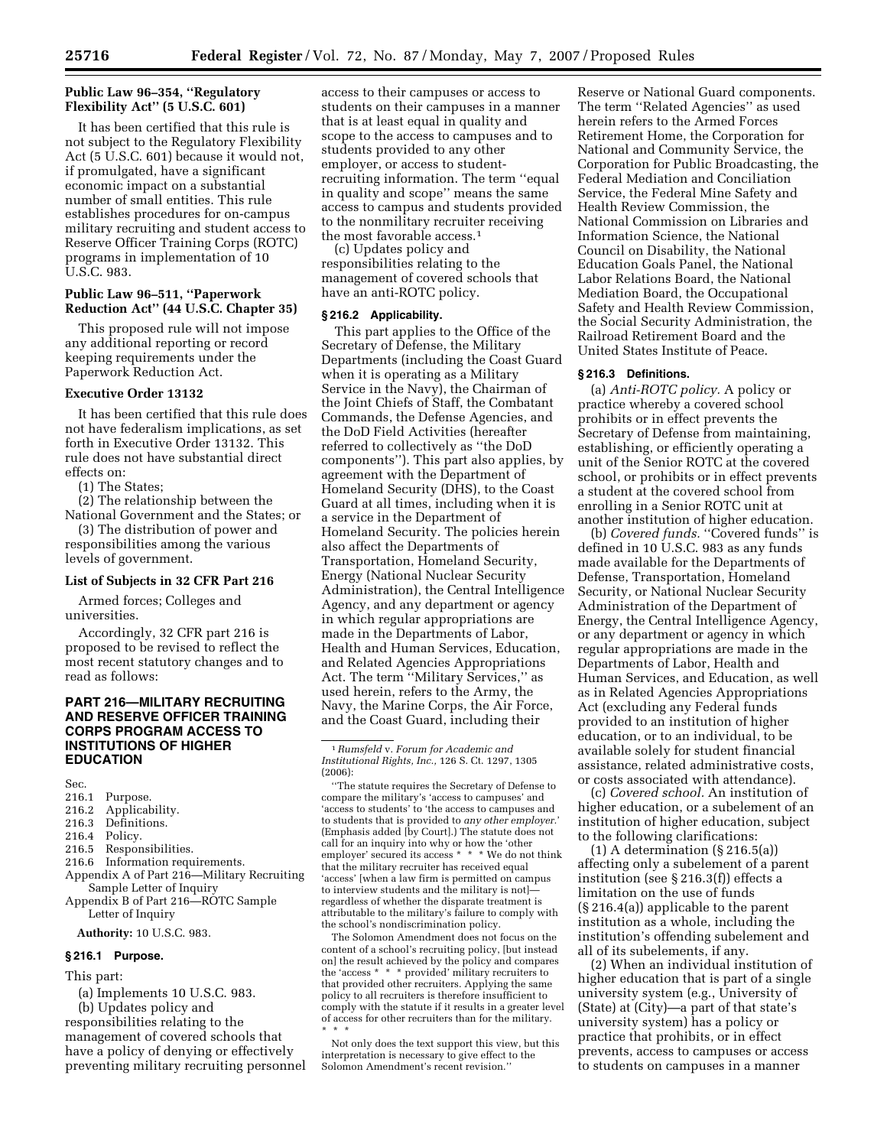## **Public Law 96–354, ''Regulatory Flexibility Act'' (5 U.S.C. 601)**

It has been certified that this rule is not subject to the Regulatory Flexibility Act (5 U.S.C. 601) because it would not, if promulgated, have a significant economic impact on a substantial number of small entities. This rule establishes procedures for on-campus military recruiting and student access to Reserve Officer Training Corps (ROTC) programs in implementation of 10 U.S.C. 983.

## **Public Law 96–511, ''Paperwork Reduction Act'' (44 U.S.C. Chapter 35)**

This proposed rule will not impose any additional reporting or record keeping requirements under the Paperwork Reduction Act.

#### **Executive Order 13132**

It has been certified that this rule does not have federalism implications, as set forth in Executive Order 13132. This rule does not have substantial direct effects on:

(1) The States;

(2) The relationship between the National Government and the States; or

(3) The distribution of power and responsibilities among the various levels of government.

#### **List of Subjects in 32 CFR Part 216**

Armed forces; Colleges and universities.

Accordingly, 32 CFR part 216 is proposed to be revised to reflect the most recent statutory changes and to read as follows:

## **PART 216—MILITARY RECRUITING AND RESERVE OFFICER TRAINING CORPS PROGRAM ACCESS TO INSTITUTIONS OF HIGHER EDUCATION**

Sec.<br>216.1

- 216.1 Purpose.<br>216.2 Applical
- 216.2 Applicability.<br>216.3 Definitions.
- 216.3 Definitions.<br>216.4 Policy.
- 216.4 Policy.<br>216.5 Respor
- Responsibilities.
- 216.6 Information requirements.
- Appendix A of Part 216—Military Recruiting Sample Letter of Inquiry

Appendix B of Part 216—ROTC Sample Letter of Inquiry

**Authority:** 10 U.S.C. 983.

#### **§ 216.1 Purpose.**

This part:

(a) Implements 10 U.S.C. 983.

(b) Updates policy and responsibilities relating to the management of covered schools that have a policy of denying or effectively preventing military recruiting personnel access to their campuses or access to students on their campuses in a manner that is at least equal in quality and scope to the access to campuses and to students provided to any other employer, or access to studentrecruiting information. The term ''equal in quality and scope'' means the same access to campus and students provided to the nonmilitary recruiter receiving the most favorable access.<sup>1</sup>

(c) Updates policy and responsibilities relating to the management of covered schools that have an anti-ROTC policy.

#### **§ 216.2 Applicability.**

This part applies to the Office of the Secretary of Defense, the Military Departments (including the Coast Guard when it is operating as a Military Service in the Navy), the Chairman of the Joint Chiefs of Staff, the Combatant Commands, the Defense Agencies, and the DoD Field Activities (hereafter referred to collectively as ''the DoD components''). This part also applies, by agreement with the Department of Homeland Security (DHS), to the Coast Guard at all times, including when it is a service in the Department of Homeland Security. The policies herein also affect the Departments of Transportation, Homeland Security, Energy (National Nuclear Security Administration), the Central Intelligence Agency, and any department or agency in which regular appropriations are made in the Departments of Labor, Health and Human Services, Education, and Related Agencies Appropriations Act. The term ''Military Services,'' as used herein, refers to the Army, the Navy, the Marine Corps, the Air Force, and the Coast Guard, including their

''The statute requires the Secretary of Defense to compare the military's 'access to campuses' and 'access to students' to 'the access to campuses and to students that is provided to *any other employer.*' (Emphasis added [by Court].) The statute does not call for an inquiry into why or how the 'other employer' secured its access \* \* \* We do not think that the military recruiter has received equal 'access' [when a law firm is permitted on campus to interview students and the military is not] regardless of whether the disparate treatment is attributable to the military's failure to comply with the school's nondiscrimination policy.

The Solomon Amendment does not focus on the content of a school's recruiting policy, [but instead on] the result achieved by the policy and compares the 'access  $* * *$  provided' military recruiters to that provided other recruiters. Applying the same policy to all recruiters is therefore insufficient to comply with the statute if it results in a greater level of access for other recruiters than for the military. \* \* \*

Not only does the text support this view, but this interpretation is necessary to give effect to the Solomon Amendment's recent revision.''

Reserve or National Guard components. The term ''Related Agencies'' as used herein refers to the Armed Forces Retirement Home, the Corporation for National and Community Service, the Corporation for Public Broadcasting, the Federal Mediation and Conciliation Service, the Federal Mine Safety and Health Review Commission, the National Commission on Libraries and Information Science, the National Council on Disability, the National Education Goals Panel, the National Labor Relations Board, the National Mediation Board, the Occupational Safety and Health Review Commission, the Social Security Administration, the Railroad Retirement Board and the United States Institute of Peace.

#### **§ 216.3 Definitions.**

(a) *Anti-ROTC policy.* A policy or practice whereby a covered school prohibits or in effect prevents the Secretary of Defense from maintaining, establishing, or efficiently operating a unit of the Senior ROTC at the covered school, or prohibits or in effect prevents a student at the covered school from enrolling in a Senior ROTC unit at another institution of higher education.

(b) *Covered funds.* "Covered funds" is defined in 10 U.S.C. 983 as any funds made available for the Departments of Defense, Transportation, Homeland Security, or National Nuclear Security Administration of the Department of Energy, the Central Intelligence Agency, or any department or agency in which regular appropriations are made in the Departments of Labor, Health and Human Services, and Education, as well as in Related Agencies Appropriations Act (excluding any Federal funds provided to an institution of higher education, or to an individual, to be available solely for student financial assistance, related administrative costs, or costs associated with attendance).

(c) *Covered school.* An institution of higher education, or a subelement of an institution of higher education, subject to the following clarifications:

(1) A determination (§ 216.5(a)) affecting only a subelement of a parent institution (see § 216.3(f)) effects a limitation on the use of funds (§ 216.4(a)) applicable to the parent institution as a whole, including the institution's offending subelement and all of its subelements, if any.

(2) When an individual institution of higher education that is part of a single university system (e.g., University of (State) at (City)—a part of that state's university system) has a policy or practice that prohibits, or in effect prevents, access to campuses or access to students on campuses in a manner

<sup>1</sup>*Rumsfeld* v. *Forum for Academic and Institutional Rights, Inc.,* 126 S. Ct. 1297, 1305 (2006):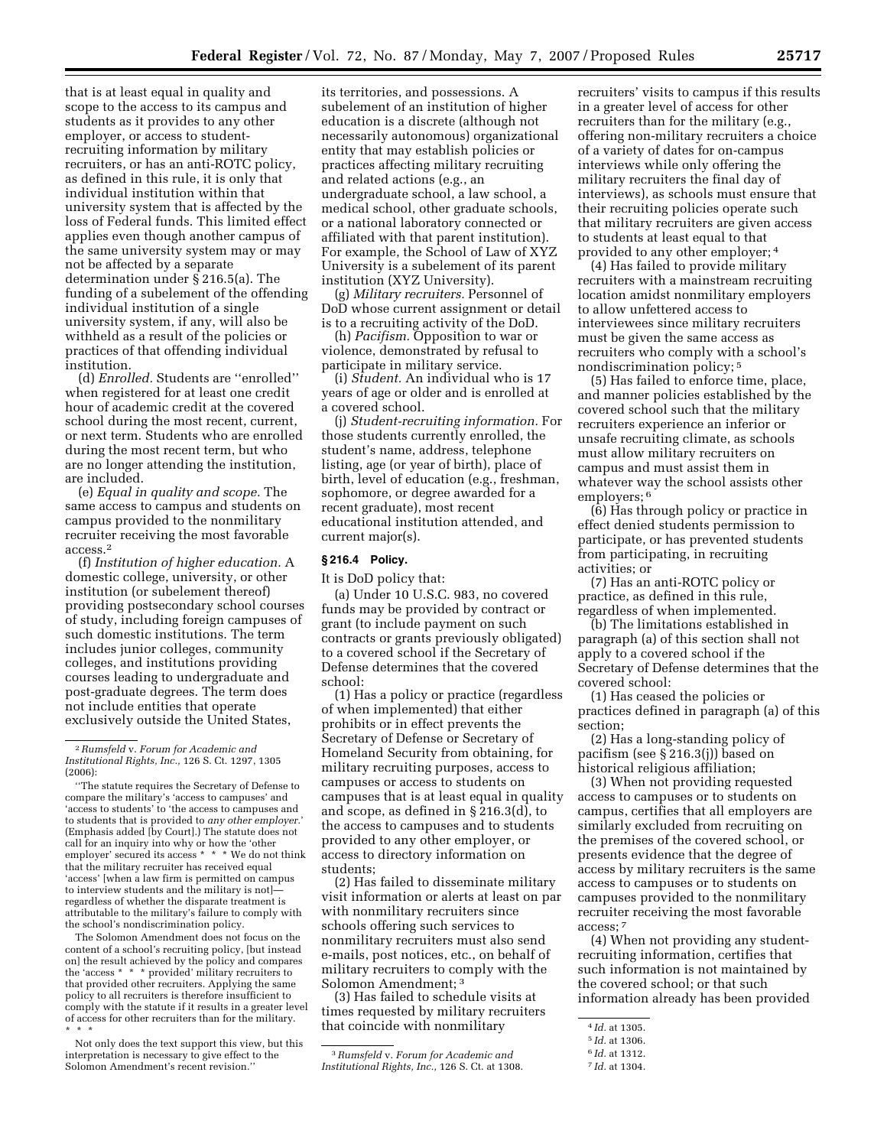that is at least equal in quality and scope to the access to its campus and students as it provides to any other employer, or access to studentrecruiting information by military recruiters, or has an anti-ROTC policy, as defined in this rule, it is only that individual institution within that university system that is affected by the loss of Federal funds. This limited effect applies even though another campus of the same university system may or may not be affected by a separate determination under § 216.5(a). The funding of a subelement of the offending individual institution of a single university system, if any, will also be withheld as a result of the policies or practices of that offending individual institution.

(d) *Enrolled.* Students are ''enrolled'' when registered for at least one credit hour of academic credit at the covered school during the most recent, current, or next term. Students who are enrolled during the most recent term, but who are no longer attending the institution, are included.

(e) *Equal in quality and scope.* The same access to campus and students on campus provided to the nonmilitary recruiter receiving the most favorable access.2

(f) *Institution of higher education.* A domestic college, university, or other institution (or subelement thereof) providing postsecondary school courses of study, including foreign campuses of such domestic institutions. The term includes junior colleges, community colleges, and institutions providing courses leading to undergraduate and post-graduate degrees. The term does not include entities that operate exclusively outside the United States,

The Solomon Amendment does not focus on the content of a school's recruiting policy, [but instead on] the result achieved by the policy and compares the 'access \* \* \* provided' military recruiters to that provided other recruiters. Applying the same policy to all recruiters is therefore insufficient to comply with the statute if it results in a greater level of access for other recruiters than for the military. \* \* \*

its territories, and possessions. A subelement of an institution of higher education is a discrete (although not necessarily autonomous) organizational entity that may establish policies or practices affecting military recruiting and related actions (e.g., an undergraduate school, a law school, a medical school, other graduate schools, or a national laboratory connected or affiliated with that parent institution). For example, the School of Law of XYZ University is a subelement of its parent institution (XYZ University).

(g) *Military recruiters.* Personnel of DoD whose current assignment or detail is to a recruiting activity of the DoD.

(h) *Pacifism.* Opposition to war or violence, demonstrated by refusal to participate in military service.

(i) *Student.* An individual who is 17 years of age or older and is enrolled at a covered school.

(j) *Student-recruiting information.* For those students currently enrolled, the student's name, address, telephone listing, age (or year of birth), place of birth, level of education (e.g., freshman, sophomore, or degree awarded for a recent graduate), most recent educational institution attended, and current major(s).

#### **§ 216.4 Policy.**

It is DoD policy that:

(a) Under 10 U.S.C. 983, no covered funds may be provided by contract or grant (to include payment on such contracts or grants previously obligated) to a covered school if the Secretary of Defense determines that the covered school:

(1) Has a policy or practice (regardless of when implemented) that either prohibits or in effect prevents the Secretary of Defense or Secretary of Homeland Security from obtaining, for military recruiting purposes, access to campuses or access to students on campuses that is at least equal in quality and scope, as defined in § 216.3(d), to the access to campuses and to students provided to any other employer, or access to directory information on students;

(2) Has failed to disseminate military visit information or alerts at least on par with nonmilitary recruiters since schools offering such services to nonmilitary recruiters must also send e-mails, post notices, etc., on behalf of military recruiters to comply with the Solomon Amendment; 3

(3) Has failed to schedule visits at times requested by military recruiters that coincide with nonmilitary

recruiters' visits to campus if this results in a greater level of access for other recruiters than for the military (e.g., offering non-military recruiters a choice of a variety of dates for on-campus interviews while only offering the military recruiters the final day of interviews), as schools must ensure that their recruiting policies operate such that military recruiters are given access to students at least equal to that provided to any other employer; 4

(4) Has failed to provide military recruiters with a mainstream recruiting location amidst nonmilitary employers to allow unfettered access to interviewees since military recruiters must be given the same access as recruiters who comply with a school's nondiscrimination policy; 5

(5) Has failed to enforce time, place, and manner policies established by the covered school such that the military recruiters experience an inferior or unsafe recruiting climate, as schools must allow military recruiters on campus and must assist them in whatever way the school assists other employers; <sup>6</sup>

(6) Has through policy or practice in effect denied students permission to participate, or has prevented students from participating, in recruiting activities; or

(7) Has an anti-ROTC policy or practice, as defined in this rule, regardless of when implemented.

(b) The limitations established in paragraph (a) of this section shall not apply to a covered school if the Secretary of Defense determines that the covered school:

(1) Has ceased the policies or practices defined in paragraph (a) of this section;

(2) Has a long-standing policy of pacifism (see § 216.3(j)) based on historical religious affiliation;

(3) When not providing requested access to campuses or to students on campus, certifies that all employers are similarly excluded from recruiting on the premises of the covered school, or presents evidence that the degree of access by military recruiters is the same access to campuses or to students on campuses provided to the nonmilitary recruiter receiving the most favorable access; 7

(4) When not providing any studentrecruiting information, certifies that such information is not maintained by the covered school; or that such information already has been provided

<sup>2</sup>*Rumsfeld* v. *Forum for Academic and Institutional Rights, Inc.,* 126 S. Ct. 1297, 1305 (2006):

<sup>&#</sup>x27;'The statute requires the Secretary of Defense to compare the military's 'access to campuses' and 'access to students' to 'the access to campuses and to students that is provided to *any other employer.*' (Emphasis added [by Court].) The statute does not call for an inquiry into why or how the 'other employer' secured its access \* \* \* We do not think that the military recruiter has received equal 'access' [when a law firm is permitted on campus to interview students and the military is not] regardless of whether the disparate treatment is attributable to the military's failure to comply with the school's nondiscrimination policy.

Not only does the text support this view, but this interpretation is necessary to give effect to the Solomon Amendment's recent revision.''

<sup>3</sup>*Rumsfeld* v. *Forum for Academic and Institutional Rights, Inc.,* 126 S. Ct. at 1308.

<sup>4</sup> *Id.* at 1305.

<sup>5</sup> *Id.* at 1306.

<sup>6</sup> *Id.* at 1312.

<sup>7</sup> *Id.* at 1304.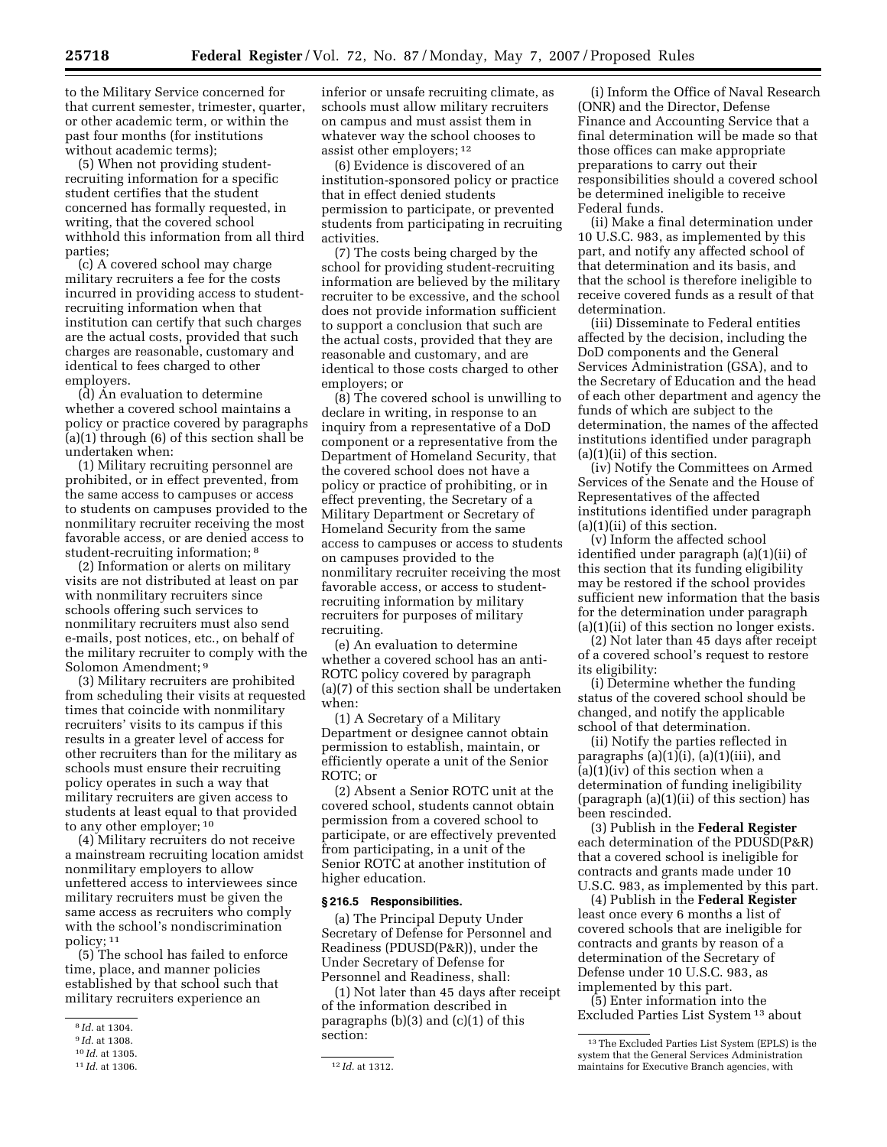to the Military Service concerned for that current semester, trimester, quarter, or other academic term, or within the past four months (for institutions without academic terms);

(5) When not providing studentrecruiting information for a specific student certifies that the student concerned has formally requested, in writing, that the covered school withhold this information from all third parties;

(c) A covered school may charge military recruiters a fee for the costs incurred in providing access to studentrecruiting information when that institution can certify that such charges are the actual costs, provided that such charges are reasonable, customary and identical to fees charged to other employers.

(d) An evaluation to determine whether a covered school maintains a policy or practice covered by paragraphs (a)(1) through (6) of this section shall be undertaken when:

(1) Military recruiting personnel are prohibited, or in effect prevented, from the same access to campuses or access to students on campuses provided to the nonmilitary recruiter receiving the most favorable access, or are denied access to student-recruiting information; 8

(2) Information or alerts on military visits are not distributed at least on par with nonmilitary recruiters since schools offering such services to nonmilitary recruiters must also send e-mails, post notices, etc., on behalf of the military recruiter to comply with the Solomon Amendment; 9

(3) Military recruiters are prohibited from scheduling their visits at requested times that coincide with nonmilitary recruiters' visits to its campus if this results in a greater level of access for other recruiters than for the military as schools must ensure their recruiting policy operates in such a way that military recruiters are given access to students at least equal to that provided to any other employer; 10

(4) Military recruiters do not receive a mainstream recruiting location amidst nonmilitary employers to allow unfettered access to interviewees since military recruiters must be given the same access as recruiters who comply with the school's nondiscrimination policy; 11

(5) The school has failed to enforce time, place, and manner policies established by that school such that military recruiters experience an

inferior or unsafe recruiting climate, as schools must allow military recruiters on campus and must assist them in whatever way the school chooses to assist other employers; 12

(6) Evidence is discovered of an institution-sponsored policy or practice that in effect denied students permission to participate, or prevented students from participating in recruiting activities.

(7) The costs being charged by the school for providing student-recruiting information are believed by the military recruiter to be excessive, and the school does not provide information sufficient to support a conclusion that such are the actual costs, provided that they are reasonable and customary, and are identical to those costs charged to other employers; or

(8) The covered school is unwilling to declare in writing, in response to an inquiry from a representative of a DoD component or a representative from the Department of Homeland Security, that the covered school does not have a policy or practice of prohibiting, or in effect preventing, the Secretary of a Military Department or Secretary of Homeland Security from the same access to campuses or access to students on campuses provided to the nonmilitary recruiter receiving the most favorable access, or access to studentrecruiting information by military recruiters for purposes of military recruiting.

(e) An evaluation to determine whether a covered school has an anti-ROTC policy covered by paragraph (a)(7) of this section shall be undertaken when:

(1) A Secretary of a Military Department or designee cannot obtain permission to establish, maintain, or efficiently operate a unit of the Senior ROTC; or

(2) Absent a Senior ROTC unit at the covered school, students cannot obtain permission from a covered school to participate, or are effectively prevented from participating, in a unit of the Senior ROTC at another institution of higher education.

#### **§ 216.5 Responsibilities.**

(a) The Principal Deputy Under Secretary of Defense for Personnel and Readiness (PDUSD(P&R)), under the Under Secretary of Defense for Personnel and Readiness, shall:

(1) Not later than 45 days after receipt of the information described in paragraphs  $(b)(3)$  and  $(c)(1)$  of this section:

(i) Inform the Office of Naval Research (ONR) and the Director, Defense Finance and Accounting Service that a final determination will be made so that those offices can make appropriate preparations to carry out their responsibilities should a covered school be determined ineligible to receive Federal funds.

(ii) Make a final determination under 10 U.S.C. 983, as implemented by this part, and notify any affected school of that determination and its basis, and that the school is therefore ineligible to receive covered funds as a result of that determination.

(iii) Disseminate to Federal entities affected by the decision, including the DoD components and the General Services Administration (GSA), and to the Secretary of Education and the head of each other department and agency the funds of which are subject to the determination, the names of the affected institutions identified under paragraph  $(a)(1)(ii)$  of this section.

(iv) Notify the Committees on Armed Services of the Senate and the House of Representatives of the affected institutions identified under paragraph (a)(1)(ii) of this section.

(v) Inform the affected school identified under paragraph (a)(1)(ii) of this section that its funding eligibility may be restored if the school provides sufficient new information that the basis for the determination under paragraph (a)(1)(ii) of this section no longer exists.

(2) Not later than 45 days after receipt of a covered school's request to restore its eligibility:

(i) Determine whether the funding status of the covered school should be changed, and notify the applicable school of that determination.

(ii) Notify the parties reflected in paragraphs  $(a)(1)(i)$ ,  $(a)(1)(iii)$ , and  $(a)(1)(iv)$  of this section when a determination of funding ineligibility (paragraph (a)(1)(ii) of this section) has been rescinded.

(3) Publish in the **Federal Register**  each determination of the PDUSD(P&R) that a covered school is ineligible for contracts and grants made under 10 U.S.C. 983, as implemented by this part.

(4) Publish in the **Federal Register**  least once every 6 months a list of covered schools that are ineligible for contracts and grants by reason of a determination of the Secretary of Defense under 10 U.S.C. 983, as implemented by this part.

(5) Enter information into the Excluded Parties List System 13 about

<sup>8</sup> *Id.* at 1304.

<sup>9</sup> *Id.* at 1308.

<sup>10</sup> *Id.* at 1305.

<sup>11</sup> *Id.* at 1306. 12 *Id.* at 1312.

<sup>13</sup>The Excluded Parties List System (EPLS) is the system that the General Services Administration maintains for Executive Branch agencies, with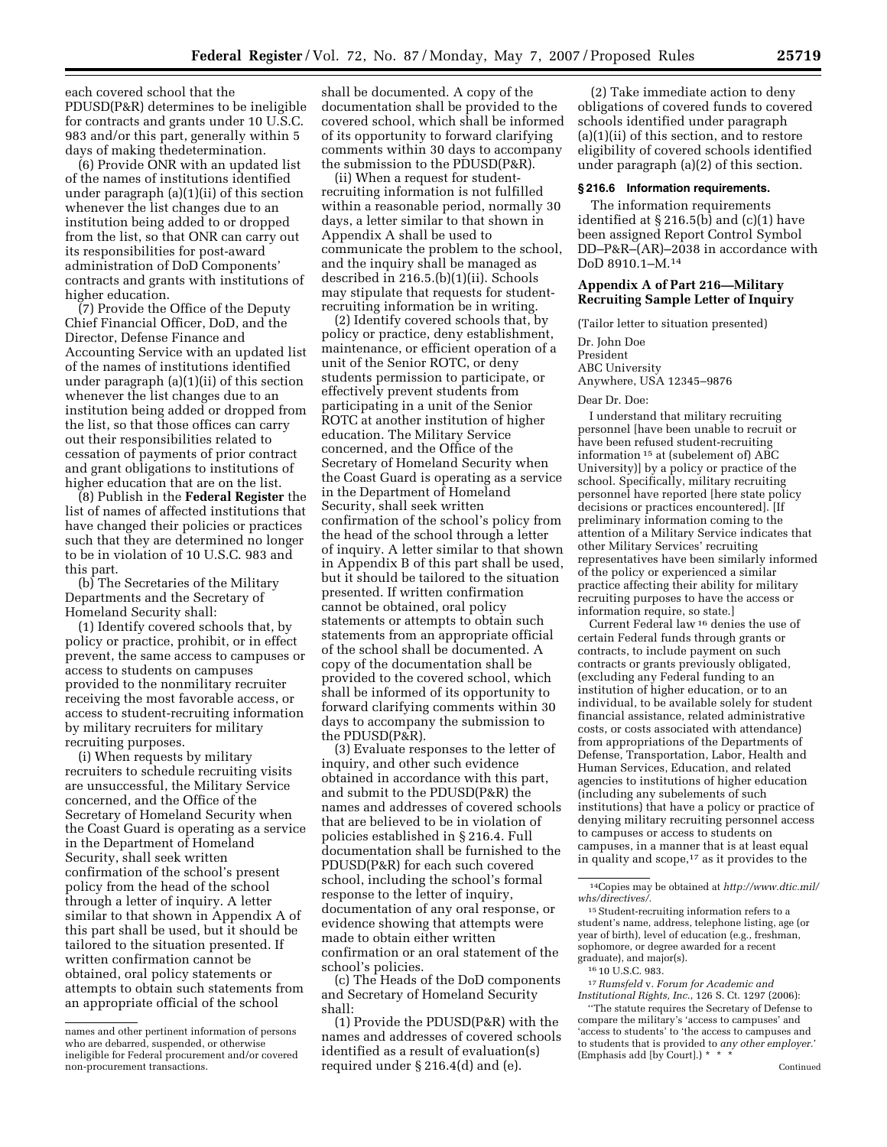each covered school that the PDUSD(P&R) determines to be ineligible for contracts and grants under 10 U.S.C. 983 and/or this part, generally within 5 days of making thedetermination.

(6) Provide ONR with an updated list of the names of institutions identified under paragraph (a)(1)(ii) of this section whenever the list changes due to an institution being added to or dropped from the list, so that ONR can carry out its responsibilities for post-award administration of DoD Components' contracts and grants with institutions of higher education.

(7) Provide the Office of the Deputy Chief Financial Officer, DoD, and the Director, Defense Finance and Accounting Service with an updated list of the names of institutions identified under paragraph (a)(1)(ii) of this section whenever the list changes due to an institution being added or dropped from the list, so that those offices can carry out their responsibilities related to cessation of payments of prior contract and grant obligations to institutions of higher education that are on the list.

(8) Publish in the **Federal Register** the list of names of affected institutions that have changed their policies or practices such that they are determined no longer to be in violation of 10 U.S.C. 983 and this part.

(b) The Secretaries of the Military Departments and the Secretary of Homeland Security shall:

(1) Identify covered schools that, by policy or practice, prohibit, or in effect prevent, the same access to campuses or access to students on campuses provided to the nonmilitary recruiter receiving the most favorable access, or access to student-recruiting information by military recruiters for military recruiting purposes.

(i) When requests by military recruiters to schedule recruiting visits are unsuccessful, the Military Service concerned, and the Office of the Secretary of Homeland Security when the Coast Guard is operating as a service in the Department of Homeland Security, shall seek written confirmation of the school's present policy from the head of the school through a letter of inquiry. A letter similar to that shown in Appendix A of this part shall be used, but it should be tailored to the situation presented. If written confirmation cannot be obtained, oral policy statements or attempts to obtain such statements from an appropriate official of the school

shall be documented. A copy of the documentation shall be provided to the covered school, which shall be informed of its opportunity to forward clarifying comments within 30 days to accompany the submission to the PDUSD(P&R).

(ii) When a request for studentrecruiting information is not fulfilled within a reasonable period, normally 30 days, a letter similar to that shown in Appendix A shall be used to communicate the problem to the school, and the inquiry shall be managed as described in 216.5.(b)(1)(ii). Schools may stipulate that requests for studentrecruiting information be in writing.

(2) Identify covered schools that, by policy or practice, deny establishment, maintenance, or efficient operation of a unit of the Senior ROTC, or deny students permission to participate, or effectively prevent students from participating in a unit of the Senior ROTC at another institution of higher education. The Military Service concerned, and the Office of the Secretary of Homeland Security when the Coast Guard is operating as a service in the Department of Homeland Security, shall seek written confirmation of the school's policy from the head of the school through a letter of inquiry. A letter similar to that shown in Appendix B of this part shall be used, but it should be tailored to the situation presented. If written confirmation cannot be obtained, oral policy statements or attempts to obtain such statements from an appropriate official of the school shall be documented. A copy of the documentation shall be provided to the covered school, which shall be informed of its opportunity to forward clarifying comments within 30 days to accompany the submission to the PDUSD(P&R).

(3) Evaluate responses to the letter of inquiry, and other such evidence obtained in accordance with this part, and submit to the PDUSD(P&R) the names and addresses of covered schools that are believed to be in violation of policies established in § 216.4. Full documentation shall be furnished to the PDUSD(P&R) for each such covered school, including the school's formal response to the letter of inquiry, documentation of any oral response, or evidence showing that attempts were made to obtain either written confirmation or an oral statement of the school's policies.

(c) The Heads of the DoD components and Secretary of Homeland Security shall:

(1) Provide the PDUSD(P&R) with the names and addresses of covered schools identified as a result of evaluation(s) required under § 216.4(d) and (e).

(2) Take immediate action to deny obligations of covered funds to covered schools identified under paragraph (a)(1)(ii) of this section, and to restore eligibility of covered schools identified under paragraph (a)(2) of this section.

## **§ 216.6 Information requirements.**

The information requirements identified at § 216.5(b) and (c)(1) have been assigned Report Control Symbol DD–P&R–(AR)–2038 in accordance with DoD 8910.1–M.14

### **Appendix A of Part 216—Military Recruiting Sample Letter of Inquiry**

(Tailor letter to situation presented)

Dr. John Doe President ABC University Anywhere, USA 12345–9876

#### Dear Dr. Doe:

I understand that military recruiting personnel [have been unable to recruit or have been refused student-recruiting information 15 at (subelement of) ABC University)] by a policy or practice of the school. Specifically, military recruiting personnel have reported [here state policy decisions or practices encountered]. [If preliminary information coming to the attention of a Military Service indicates that other Military Services' recruiting representatives have been similarly informed of the policy or experienced a similar practice affecting their ability for military recruiting purposes to have the access or information require, so state.]

Current Federal law 16 denies the use of certain Federal funds through grants or contracts, to include payment on such contracts or grants previously obligated, (excluding any Federal funding to an institution of higher education, or to an individual, to be available solely for student financial assistance, related administrative costs, or costs associated with attendance) from appropriations of the Departments of Defense, Transportation, Labor, Health and Human Services, Education, and related agencies to institutions of higher education (including any subelements of such institutions) that have a policy or practice of denying military recruiting personnel access to campuses or access to students on campuses, in a manner that is at least equal in quality and scope,17 as it provides to the

14Copies may be obtained at *http://www.dtic.mil/ whs/directives/.* 

 $^{\rm 15}\,$  Student-recruiting information refers to a student's name, address, telephone listing, age (or year of birth), level of education (e.g., freshman, sophomore, or degree awarded for a recent graduate), and major(s).

16 10 U.S.C. 983.

17*Rumsfeld* v. *Forum for Academic and Institutional Rights, Inc.*, 126 S. Ct. 1297 (2006):

''The statute requires the Secretary of Defense to compare the military's 'access to campuses' and 'access to students' to 'the access to campuses and to students that is provided to *any other employer.*' (Emphasis add [by Court].) \*

names and other pertinent information of persons who are debarred, suspended, or otherwise ineligible for Federal procurement and/or covered non-procurement transactions.